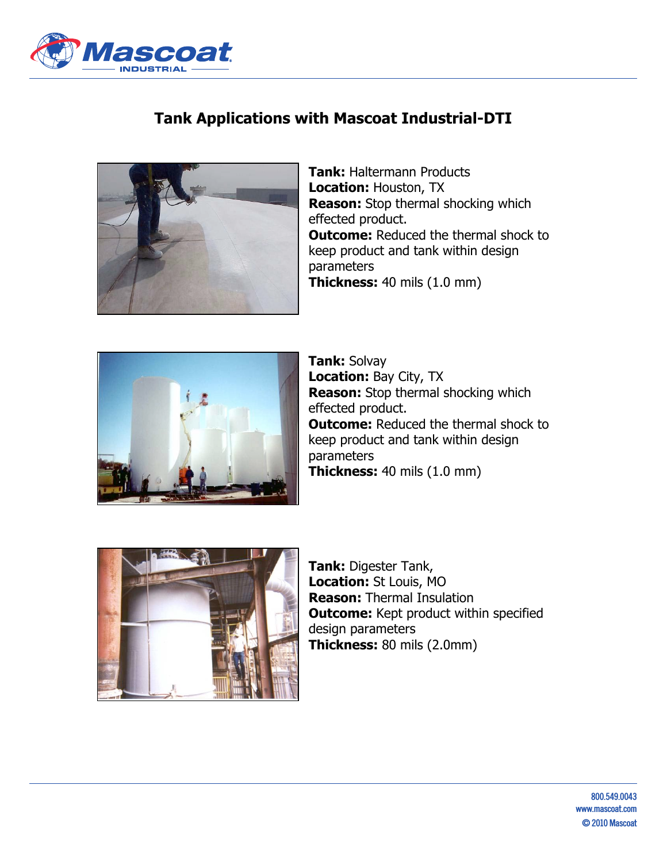

## **Tank Applications with Mascoat Industrial-DTI**



**Tank:** Haltermann Products **Location:** Houston, TX **Reason:** Stop thermal shocking which effected product. **Outcome:** Reduced the thermal shock to keep product and tank within design parameters **Thickness:** 40 mils (1.0 mm)



**Tank:** Solvay **Location:** Bay City, TX **Reason:** Stop thermal shocking which effected product. **Outcome:** Reduced the thermal shock to keep product and tank within design parameters **Thickness:** 40 mils (1.0 mm)



**Tank:** Digester Tank, **Location:** St Louis, MO **Reason:** Thermal Insulation **Outcome:** Kept product within specified design parameters **Thickness:** 80 mils (2.0mm)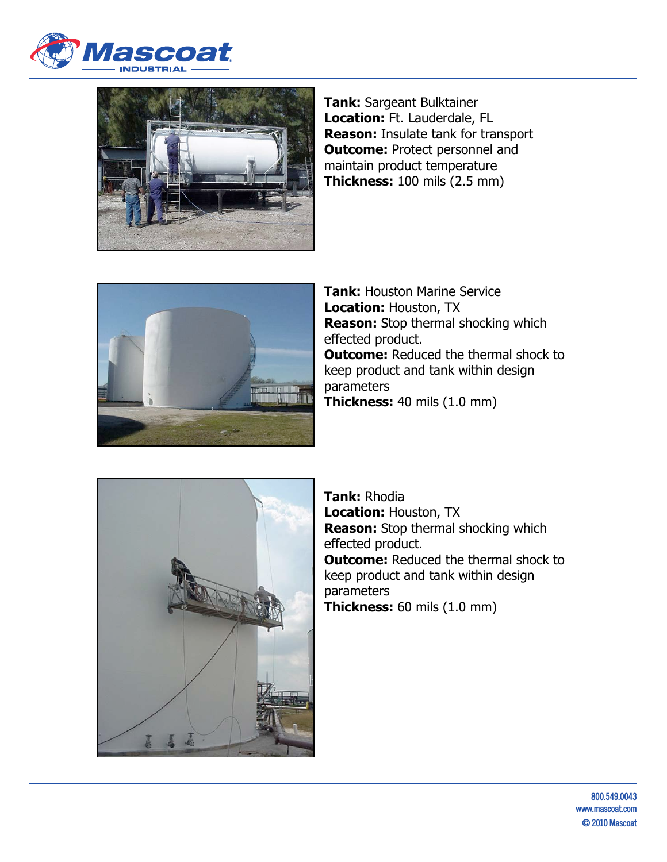



**Tank:** Sargeant Bulktainer **Location:** Ft. Lauderdale, FL **Reason:** Insulate tank for transport **Outcome: Protect personnel and** maintain product temperature **Thickness:** 100 mils (2.5 mm)



**Tank:** Houston Marine Service **Location:** Houston, TX **Reason:** Stop thermal shocking which effected product. **Outcome:** Reduced the thermal shock to keep product and tank within design parameters **Thickness:** 40 mils (1.0 mm)



**Tank:** Rhodia **Location:** Houston, TX **Reason:** Stop thermal shocking which effected product. **Outcome:** Reduced the thermal shock to keep product and tank within design parameters **Thickness:** 60 mils (1.0 mm)

> **800.549.0043 www.mascoat.com © 2010 Mascoat**